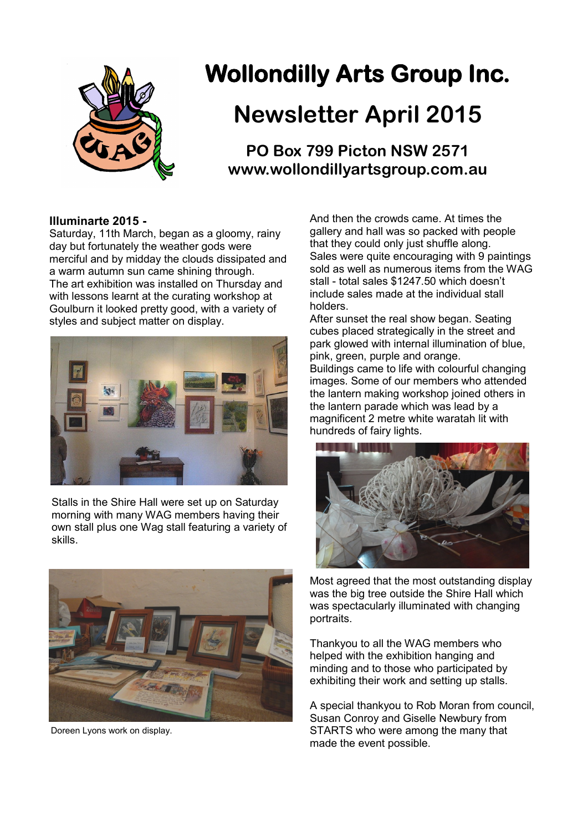

# **Wollondilly Arts Group Inc.**

## **Newsletter April 2015**

**PO Box 799 Picton NSW 2571 www.wollondillyartsgroup.com.au**

## **Illuminarte 2015 -**

Saturday, 11th March, began as a gloomy, rainy day but fortunately the weather gods were merciful and by midday the clouds dissipated and a warm autumn sun came shining through. The art exhibition was installed on Thursday and with lessons learnt at the curating workshop at Goulburn it looked pretty good, with a variety of styles and subject matter on display.



Stalls in the Shire Hall were set up on Saturday morning with many WAG members having their own stall plus one Wag stall featuring a variety of skills.



Doreen Lyons work on display.

And then the crowds came. At times the gallery and hall was so packed with people that they could only just shuffle along. Sales were quite encouraging with 9 paintings sold as well as numerous items from the WAG stall - total sales \$1247.50 which doesn't include sales made at the individual stall holders.

After sunset the real show began. Seating cubes placed strategically in the street and park glowed with internal illumination of blue, pink, green, purple and orange. Buildings came to life with colourful changing images. Some of our members who attended the lantern making workshop joined others in the lantern parade which was lead by a magnificent 2 metre white waratah lit with hundreds of fairy lights.



Most agreed that the most outstanding display was the big tree outside the Shire Hall which was spectacularly illuminated with changing portraits.

Thankyou to all the WAG members who helped with the exhibition hanging and minding and to those who participated by exhibiting their work and setting up stalls.

A special thankyou to Rob Moran from council, Susan Conroy and Giselle Newbury from STARTS who were among the many that made the event possible.